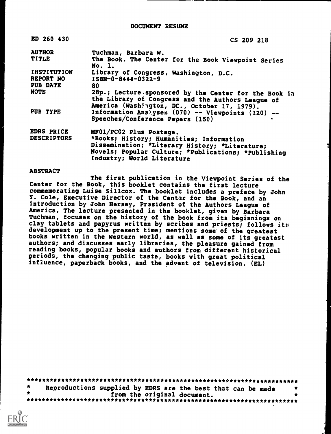| ED 260 430         | CS 209 218                                                                                                                                                 |  |
|--------------------|------------------------------------------------------------------------------------------------------------------------------------------------------------|--|
| <b>AUTHOR</b>      | Tuchman, Barbara W.                                                                                                                                        |  |
| <b>TITLE</b>       | The Book. The Center for the Book Viewpoint Series<br>No. 1.                                                                                               |  |
| <b>INSTITUTION</b> | Library of Congress, Washington, D.C.                                                                                                                      |  |
| REPORT NO          | $ISBN-0-8444-0322-9$                                                                                                                                       |  |
| PUB DATE           | 80                                                                                                                                                         |  |
| <b>NOTE</b>        | 28p.; Lecture sponsored by the Center for the Book in<br>the Library of Congress and the Authors League of<br>America (Washington, DC., October 17, 1979). |  |
| PUB TYPE           | Information Analyses (070) -- Viewpoints (120) --<br>Speeches/Conference Papers (150)                                                                      |  |
| EDRS PRICE         | MF01/PC02 Plus Postage.                                                                                                                                    |  |
| <b>DESCRIPTORS</b> | *Books; History; Humanities; Information                                                                                                                   |  |
|                    | Dissemination; *Literary History; *Literature;                                                                                                             |  |
|                    | Novels; Popular Culture; *Publications; *Publishing<br>Industry; World Literature                                                                          |  |

### **ABSTRACT**

The first publication in the Viewpoint Series of the Center for the Book, this booklet contains the first lecture commemorating Luise Sillcox. The booklet includes a preface by John Y. Cole, Executive Director of the Center for the Book, and an introduction by John Hersey, President of the Authors League of America. The lecture presented in the booklet, given by Barbara Tuchman, focuses on the history of the book from its beginnings on clay tablets and papyrus written by scribes and priests; follows its development up to the present time; mentions some of the greatest books written in the Western world, as well as some of its greatest authors; and discusses early libraries, the pleasure gained from reading books, popular books and authors from different historical periods, the changing public taste, books with great political influence, paperback books, and the advent of television. (EL)

| 大大 | Reproductions supplied by EDRS are the best that can be made |                             |  |  |  |  |
|----|--------------------------------------------------------------|-----------------------------|--|--|--|--|
|    |                                                              | from the original document. |  |  |  |  |
|    |                                                              |                             |  |  |  |  |
|    |                                                              |                             |  |  |  |  |

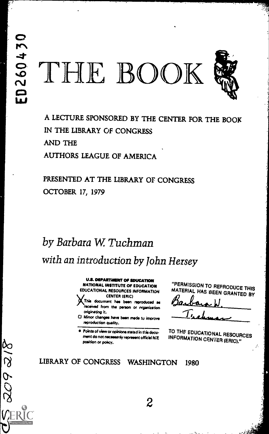$\frac{8}{2}$ 

209



A LECTURE SPONSORED BY THE CENTER FOR THE BOOK IN THE LIBRARY OF CONGRESS AND THE AUTHORS LEAGUE OF AMERICA

PRESENTED AT THE LIBRARY OF CONGRESS OCTOBER 17, 1979

## by Barbara W Tuchman with an introduction by John Hersey

U**.s. department of Education**<br>Ational institute of Education *Harmis* Sign to Reproduce this NATIONAL INSTITUTE OF EDUCATION EDUCATIONAL RESOURCES INFORMATION CENTER IERICI

This document has been reproduced as received from the person or organization originating It.

0 Minor changes have been mode to improve reproduction quality.

**Points of view or opinions stated in this docu**ment do not necessarily represent official NIE INFORMATION CENTER (ERIC)." position or policy.

MATERIAL HAS BEEN GRANTED BY

TO THE EDUCATIONAL RESOURCES

LIBRARY OF CONGRESS WASHINGTON 1980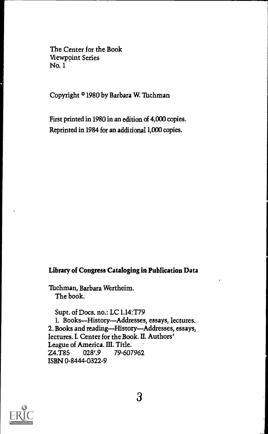The Center for the Book Viewpoint Series No. 1

Copyright <sup>®</sup> 1980 by Barbara W. Tuchman

First printed in 1980 in an edition of 4,000 copies. Reprinted in 1984 for an additional 1,000 copies.

## Library of Congress Cataloging in Publication Data

Tuchman, Barbara Wertheim. The book.

Supt. of Docs. no.: LC 1.14:T79 1. Books-History-Addresses, essays, lectures. 2. Books and reading-History-Addresses, essays, lectures. I. Center for the Book. IL Authors' League of America. III. Title. Z4.T85 028'.9 79-607962 ISBN 0-8444-0322-9

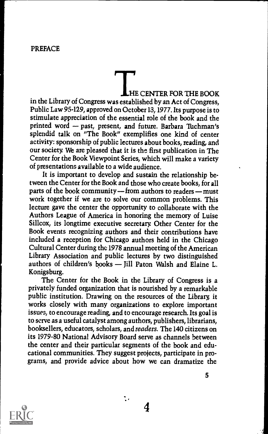## PREFACE

HE CENTER FOR THE BOOK

in the Library of Congress was established by an Act of Congress, Public Law 95-129, approved on October 13,1977. Its purpose is to stimulate appreciation of the essential role of the book and the printed word - past, present, and future. Barbara Tuchman's splendid talk on "The Book" exemplifies one kind of center activity: sponsorship of public lectures about books, reading, and our society We are pleased that it is the first publication in The Center for the Book Viewpoint Series, which will make a variety of presentations available to a wide audience.

It is important to develop and sustain the relationship between the Center for the Book and those who create books, for all parts of the book community -- from authors to readers -- must work together if we are to solve our common problems. This lecture gave the center the opportunity to collaborate with the Authors League of America in honoring the memory of Luise Sillcox, its longtime executive secretary. Other Center for the Book events recognizing authors and their contributions have included a reception for Chicago authors held in the Chicago Cultural Center during the 1978 annual meeting of the American Library Association and public lectures by two distinguished authors of children's books - Jill Paton Walsh and Elaine L. Konigsburg.

The Center for the Book in the Library of Congress is a privately funded organization that is nourished by a remarkable public institution. Drawing on the resources of the Library, it works closely with many organizations to explore important issues, to encourage reading, and to encourage research. Its goal is to serve as a useful catalyst among authors, publishers, librarians, booksellers, educators, scholars, and readers. The 140 citizens on its 1979-80 National Advisory Board serve as channels between the center and their particular segments of the book and educational communities. They suggest projects, participate in programs, and provide advice about how we can dramatize the

4

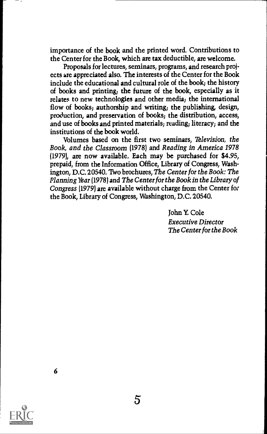importance of the book and the printed word. Contributions to the Center for the Book, which are tax deductible, are welcome.

Proposals for lectures, seminars, programs, and research projects are appreciated also. The interests of the Center for the Book include the educational and cultural role of the book; the history of books and printing; the future of the book, especially as it relates to new technologies and other media; the international flow of books; authorship and writing; the publishing, design, production, and preservation of books; the distribution, access, and use of books and printed materials; reading; literacy; and the institutions of the book world.

Volumes based on the first two seminars, Television, the Book, and the Classroom (1978) and Reading in America 1978 (1979), are now available. Each may be purchased for \$4.95, prepaid, from the Information Office, Library of Congress, Washington, D.C. 20540. Two brochures, The Center for the Book: The Planning Year (1978) and The Center for the Book in the Library of Congress (1979) are available without charge from the Center for the Book, Library of Congress, Washington, D.C. 20540.

> John Y. Cole Executive Director The Center for the Book

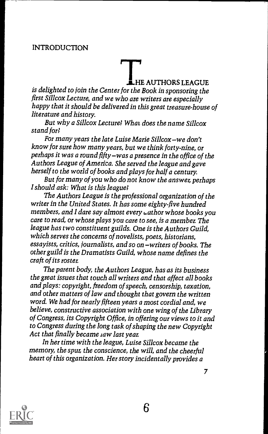## INTRODUCTION

# .HE AUTHORS LEAGUE

is delighted to join the Center for the Book in sponsoring the first Silcox Lecture, and we who are writers are especially happy that it should be delivered in this great treasure-house of literature and history.

But why a Sillcox Lecture? What does the name Sillcox stand for?

For many years the late Luise Marie Sillcox-we don't know for sure how many years, but we think forty-nine, or perhaps it was a round fifty-was a presence in the office of the Authors League of America. She served the league and gave herself to the world of books and plays for half a century.

But for many of you who do not know the answer, perhaps I should ask: What is this league?

The Authors League is the professional organization of the writer in the United States. It has some eighty-five hundred members, and I dare say almost every *unthor* whose books you care to read, or whose plays you care to see, is a member The league has two constituent guilds. One is the Authors Guild, which serves the concerns of novelists, poets, historians, essayists, critics, journalists, and so on-writers of books. The other guild is the Dramatists Guild, whose name defines the craft of its roster.

The parent body, the Authors League, has as its business the great issues that touch all writers and that affect all books and plays: copyright, freedom of speech, censorship, taxation, and other matters of law and thought that govern the written word. We had for nearly fifteen years a most cordial and, we believe, constructive association with one wing of the Library of Congress, its Copyright Office, in offering our views to it and to Congress during the long task of shaping the new Copyright Act that finally became law last year.

In her time with the league, Luise Sillcox became the memory, the spur, the conscience, the will, and the cheerful heart of this organization. Her story incidentally provides a



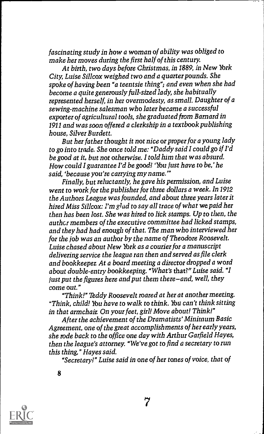fascinating study in how a woman of ability was obliged to make her moves during the first half of this century.

At birth, two days before Christmas, in 1889, in New York City, Luise Sillcox weighed two and a quarter pounds. She spoke of having been "a teentsie thing"; and even when she had become a quite generously full-sized lady, she habitually represented herself, in her overmodesty, as small. Daughter of a sewing-machine salesman who later became a successful exporter of agricultural tools, she graduated from Barnard in 1911 and was soon offered a clerkship in a textbook publishing house, Silver Burdett.

But her father thought it not nice or proper for a young lady to go into trade. She once told me: "Daddy said I could go if I'd be good at it, but not otherwise. I told him that was absurd. How could I guarantee I'd be good? 'You just have to be,' he said, 'because you're carrying my name.'"

Finally, but reluctantly, he gave his permission, and Luise went to work for the publisher for three dollars a week. In 1912 the Authors League was founded, and about three years later it hired Miss Sillcox: I'm glad to say all trace of what we paid her then has been lost. She was hired to lick stamps. Up to then, the author members of the executive committee had licked stamps, and they had had enough of that. The man who interviewed her for the job was an author by the name of Theodore Roosevelt. Luise chased about New York as a courier for a manuscript delivering service the league ran then and served as file clerk and bookkeeper. At a board meeting a director dropped a word about double-entry bookkeeping. "What's that?" Luise said. "I just put the figures here and put them there-and, well, they come out."

"Think!" Teddy Roosevelt roared at her at another meeting. "Think, child! You have to walk to think. You can't think sitting in that armchair. On your feet, girl! Move about! Think!"

After the achievement of the Dramatists' Minimum Basic Agreement, one of the great accomplishments of her early years, she rode back to the office one day with Arthur Garfield Hayes, then the league's attorney. "We've got to find a secretary to run this thing," Hayes said.

"Secretary?" Luise said in one of her tones of voice, that of

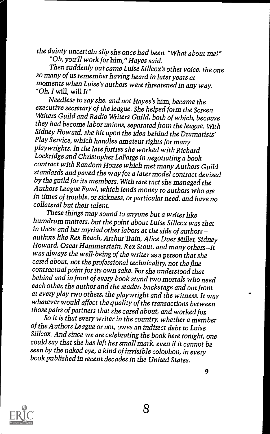the dainty uncertain slip she once had been. "What about me?" "Oh, you'll work for him," Hayes said.

Then suddenly out came Luise Sillcox's other voice, the one so many of us remember having heard in later years at moments when Luise's authors were threatened in any way.<br>"Oh, I will, will  $N'$ "

Needless to say she, and not Hayes's him, became the executive secretary of the league. She helped form the Screen Writers Guild and Radio Writers Guild, both of which, because Sidney Howard, she hit upon the idea behind the Dramatists' Play Service, which handles amateur rights for many playwrights. In the late forties she worked with Richard Lockridge and Christopher LaFarge in negotiating a book contract with Random House which met many Authors Guild standards and paved the way for a later model contract devised by the guild for its members. With rare tact she managed the Authors League Fund, which lends money to authors who are in times of trouble, or sickness, or particular need, and have no collateral but their talent.

These things may sound to anyone but a writer like humdrum matters, but the point about Luise Sillcox was that in these and her myriad other labors at the side of authorsauthors like Rex Beach, Arthur Train, Alice Duer Miller, Sidney Howard, Oscar Hammerstein, Rex Stout, and many others-it was always the well-being of the writer as a person that she cared about, not the professional technicality, not the fine contractual point for its own sake. For she understood that behind and in front of every book stand two mortals who need each other, the author and the reader; backstage and out front at every play two others, the playwright and the witness. It was whatever would affect the quality of the transactions between those pairs of partners that she cared about, and worked for.

So it is that every writer in the country, whether a member of the Authors League or not, owes an indirect debt to Luise Sillcox. And since we are celebrating the book here tonight, one could say that she has left her small mark, even if it cannot be seen by the naked eye, a kind of invisible colophon, in every book published in recent decades in the United States.

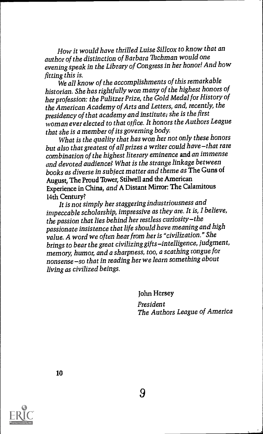How it would have thrilled Luise Sillcox to know that an author of the distinction of Barbara Tlichman would one evening speak in the Library of Congress in her honor! And how fitting this is.

We all know of the accomplishments of this remarkable historian. She has rightfully won many of the highest honors of her profession: the Pulitzer Prize, the Gold Medal for History of the American Academy of Arts and Letters, and, recently, the presidency of that academy and institute; she is the first woman ever elected to that office. It honors the Authors League that she is a member of its governing body.

What is the quality that has won her not only these honors but also that greatest of all prizes a writer could have-that rare combination of the highest literary eminence and an immense and devoted audience? What is the strange linkage between books as diverse in subject matter and theme as The Guns of August, The Proud Tower, Stilwell and the American Experience in China, and A Distant Mirror: The Calamitous 14th Century?

It is not simply her staggering industriousness and impeccable scholarship, impressive as they are. It is, I believe, the passion that lies behind her restless curiosity-the passionate insistence that life should have meaning and high value. A word we often hear from her is "civilization." She brings to bear the great civilizing gifts-intelligence, judgment, memory, humor, and a sharpness, too, a scathing tongue for nonsense-so that in reading her we learn something about living as civilized beings.

John Hersey

President The Authors League of America

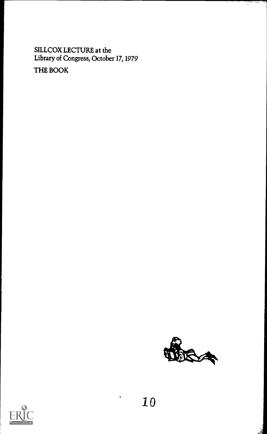SILLCOX LECTURE at the Library of Congress, October 17, 1979

THE BOOK





 $\ddot{\phantom{0}}$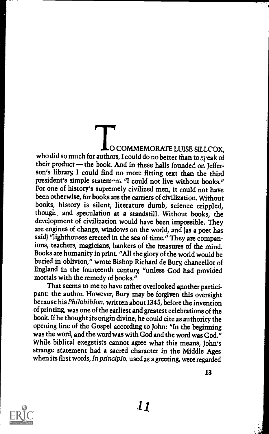0 COMMEMORATE LUISE SILLCOX, who did so much for authors, I could do no better than to gyeak of their product - the book. And in these halls founded or, Jefferson's library, I could find no more fitting text than the third president's simple statem.m. "I could not live without books." For one of history's supremely civilized men, it could not have been otherwise, for books are the carriers of civilization. Without books, history is silent, literature dumb, science crippled, though. and speculation at a standstill. Without books, the development of civilization would have been impossible. They are engines of change, windows on the world, and (as a poet has said) "lighthouses erected in the sea of time." They are companions, teachers, magicians, bankers of the treasures of the mind. Books are humanity in print. "All the glory of the world would be buried in oblivion," wrote Bishop Richard de Bury, chancellor of England in the fourteenth century, "unless God had provided mortals with the remedy of books."

That seems to me to have rather overlooked another participant: the author. However, Bury may be forgiven this oversight because his Philobiblon, written about 1345, before the invention of printing, was one of the earliest and greatest celebrations of the book. If he thought its origin divine, he could cite as authority the opening line of the Gospel according to John: "In the beginning was the word, and the word was with God and the word was God." While biblical exegetists cannot agree what this means, John's strange statement had a sacred character in the Middle Ages when its first words, In principio, used as a greeting, were regarded

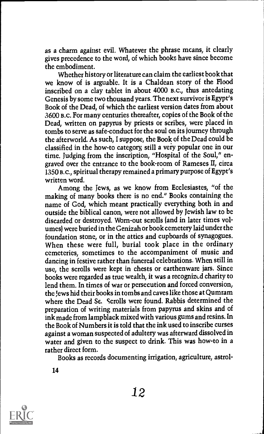as a charm against evil. Whatever the phrase means, it clearly gives precedence to the word, of which books have since become the embodiment.

Whether history or literature can claim the earliest book that we know of is arguable. It is a Chaldean story of the Flood inscribed on a clay tablet in about 4000 B.c., thus antedating Genesis by some two thousand years. The next survivor is Egypt's Book of the Dead, of which the earliest version dates from about 3600 B.c. For many centuries thereafter, copies of the Book of the Dead, written on papyrus by priests or scribes, were placed in tombs to serve as safe-conduct for the soul on its journey through the afterworld. As such, I suppose, the Book of the Dead could be classified in the how-to category, still a very popular one in our time. Judging from the inscription, "Hospital of the Soul," engraved over the entrance to the book-room of Rameses II, circa 1350 B.c., spiritual therapy remained a primary purpose of Egypt's written word.

Among the Jews, as we know from Ecclesiastes, "of the making of many books there is no end." Books containing the name of God, which meant practically everything both in and outside the biblical canon, were not allowed by Jewish law to be discarded or destroyed. Worn-out scrolls (and in later times volumes) were buried in the Genizah or book cemetery laid under the foundation stone, or in the attics and cupboards of synagogues. When these were full, burial took place in the ordinary cemeteries, sometimes to the accompaniment of music and dancing in festive rather than funereal celebrations. When still in use, the scrolls were kept in chests or earthenware jars. Since books were regarded as true wealth, it was a recognized charity to lend them. In times of war or persecution and forced conversion, the !ews hid their books in tombs and caves like those at Qumram where the Dead Sc, Scrolls were found. Rabbis determined the preparation of writing materials from papyrus and skins and of ink made from lampblack mixed with various gums and resins. In the Book of Numbers it is told that the ink used to inscribe curses against a woman suspected of adultery was afterward dissolved in water and given to the suspect to drink. This was how-to in a rather direct form.

Books as records documenting irrigation, agriculture, astrol-

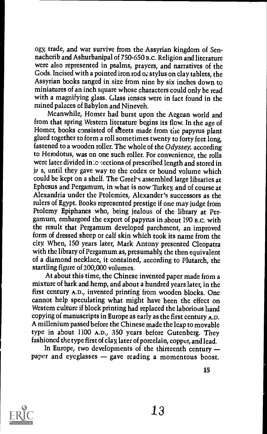ogy, trade, and war survive from the Assyrian kingdom of Sennacherib and Ashurbanipal of 750-650 B.C. Religion and literature were also represented in psalms, prayers, and narratives of the Gods. Incised with a pointed iron rod o; stylus on clay tablets, the Assyrian books ranged in size from nine by six inches down to miniatures of an inch square whose characters could only be read with a magnifying glass. Glass lenses were in fact found in the ruined palaces of Babylon and Nineveh.

Meanwhile, Homer had burst upon the Aegean world and from that spring Western literature begins its flow. In the age of Homer, books consisted of sheets made from the papyrus plant glued together to form a roll sometimes twenty to forty feet long, fastened to a wooden roller. The whole of the Odyssey, according to Herodotus, was on one such roller. For convenience, the rolls were later divided in :0, sections of prescribed length and stored in ja s, until they gave way to the codex or bound volume which could be kept on a shelf. The Greel's assembled large libraries at Ephesus and Pergamum, in what is now Tinkey, and of course at Alexandria under the Ptolemies, Alexander's successors as the rulers of Egypt. Books represented prestige if one may judge from Ptolemy Epiphanes who, being jealous of the library at Pergamum, embargoed the export of papyrus in about 190 B.c. with the result that Pergamum developed parchment, an improved form of dressed sheep or calf skin which took its name from the city. When, 150 years later, Mark Antony presented Cleopatra with the library of Pergamum as, presumably, the then equivalent of a diamond necklace, it contained, according to Plutarch, the startling figure of 200,000 volumes.

At about this time, the Chinese invented paper made from a mixture of bark and hemp, and about a hundred years later, in the first century A.D., invented printing from wooden blocks. One cannot help speculating what might have been the effect on Westem culture if block printing had replaced the laborious hand copying of manuscripts in Europe as early as the first century A.D. A millenium passed before the Chinese made the leap to movable type in about 1100 A.D., 350 years before Gutenberg. They fashioned the type first of clay, later of porcelain, copper, and lead.

In Europe, two developments of the thirteenth century  $$ paper and eyeglasses  $-$  gave reading a momentous boost.

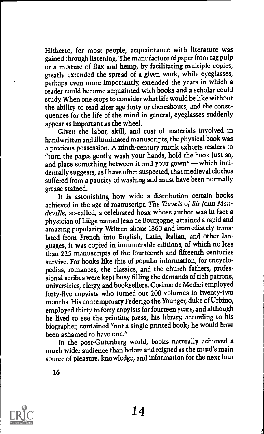Hitherto, for most people, acquaintance with literature was gained through listening. The manufacture of paper from rag pulp or a mixture of flax and hemp, by facilitating multiple copies, greatly extended the spread of a given work, while eyeglasses, perhaps even more importantly, extended the years in which a reader could become acquainted with books and a scholar could study. When one stops to consider what life would be like without the ability to read after age forty or thereabouts, and the consequences for the life of the mind in general, eyeglasses suddenly appear as important as the wheel.

Given the labor, skill, and cost of materials involved in handwritten and illuminated manuscripts, the physical book was a precious possession. A ninth-century monk exhorts readers to "turn the pages gently, wash your hands, hold the book just so, and place something between it and your gown"-which incidentally suggests, as I have often suspected, that medieval clothes suffered from a paucity of washing and must have been normally grease stained.

It is astonishing how wide a distribution certain books achieved in the age of manuscript. The Travels of Sir John Mandeville, so-called, a celebrated hoax whose author was in fact a physician of Liege named Jean de Bourgogne, attained a rapid and amazing popularity. Written about 1360 and immediately translated from French into English, Latin, Italian, and other languages, it was copied in innumerable editions, of which no less than 225 manuscripts of the fourteenth and fifteenth centuries survive. For books like this of popular information, for encyclopedias, romances, the classics, and the church fathers, professional scribes were kept busy filling the demands of rich patrons, universities, clergy, and booksellers. Cosimo de Medici employed forty-five copyists who turned out 200 volumes in twenty-two months. His contemporary Federigo the Younger, duke of Urbino, employed thirty to forty copyists for fourteen years, and although he lived to see the printing press, his library, according to his biographer, contained "not a single printed book; he would have been ashamed to have one."

In the post-Gutenberg world, books naturally achieved a much wider audience than before and reigned as the mind's main source of pleasure, knowledge, and information for the next four



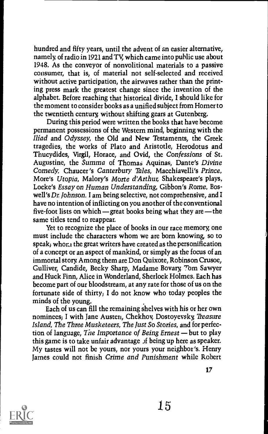hundred and fifty years, until the advent of an easier alternative, namely, of radio in 1921 and TV, which came into public use about 1948. As the conveyor of nonvolitional materials to a passive consumer, that is, of material not self-selected and received without active participation, the airwaves rather than the printing press mark the greatest change since the invention of the alphabet. Before reaching that historical divide, I should like for the moment to consider books as a unified subject from Homer to the twentieth century, without shifting gears at Gutenberg.

During this period were written the books that have become permanent possessions of the Western mind, beginning with the Iliad and Odyssey, the Old and New Testaments, the Greek tragedies, the works of Plato and Aristotle, Herodotus and Thucydides, Virgil, Horace, and Ovid, the Confessions of St. Augustine, the Summa of Thomas Aquinas, Dante's Divine Comedy. Chaucer 's Canterbury Tales, Macchiavelli's Prince, More's Utopia, Malory's Morte d'Arthur, Shakespeare's plays, Locke's Essay on Human Understanding, Gibbon's Rome, Boswell's  $Dr$  Johnson. I am being selective, not comprehensive, and  $I$ have no intention of inflicting on you another of the conventional five-foot lists on which  $-\frac{1}{2}$  great books being what they are  $-\frac{1}{2}$  the same titles tend to reappear.

Yet to recognize the place of books in our race memory, one must include the characters whom we are born knowing, so to speak; whore the great writers have created as the personification of a concept or an aspect of mankind, or simply as the focus of an immortal story. Among them are Don Quixote, Robinson Crusoe, Gulliver, Candide, Becky Sharp, Madame Bovary, Tom Sawyer and Huck Finn, Alice in Wonderland, Sherlock Holmes. Each has become part of our bloodstream, at any rate for those of us on the fortunate side of thirty; I do not know who today peoples the minds of the young.

Each of us can fill the remaining shelves with his or her own nominees; I with Jane Austen, Chekhov, Dostoyevsky, Treasure Island, The Three Musketeers, The Just So Stories, and for perfection of language, The Importance of Being Ernest  $-$  but to play this game is to take unfair advantage of being up here as speaker. My tastes will not be yours, nor yours your neighbor's. Henry James could not finish Crime and Punishment while Robert



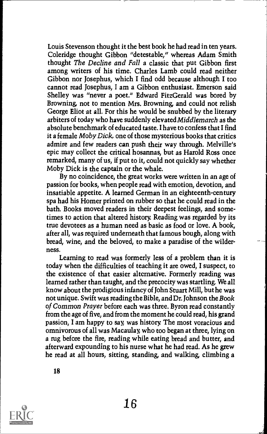Louis Stevenson thought it the best book he had read in ten years. Coleridge thought Gibbon "detestable," whereas Adam Smith thought The Decline and Fall a classic that put Gibbon first among writers of his time. Charles Lamb could read neither Gibbon nor Josephus, which I find odd because although I too cannot read Josephus, I am a Gibbon enthusiast. Emerson said Shelley was "never a poet." Edward FitzGerald was bored by Browning, not to mention Mrs. Browning, and could not relish George Eliot at all. For this he would be snubbed by the literary arbiters of today who have suddenly elevated Middlemarch as the absolute benchmark of educated taste. I have to confess that I find it a female Moby Dick, one of those mysterious books that critics admire and few readers can push their way through. Melville's epic may collect the critical hosannas, but as Harold Ross once remarked, many of us, if put to it, could not quickly say whether Moby Dick is the captain or the whale.

By no coincidence, the great works were written in an age of passion for books, when people read with emotion, devotion, and insatiable appetite. A learned German in an eighteenth-century spa had his Homer printed on rubber so that he could read in the bath. Books moved readers in their deepest feelings, and sometimes to action that altered history. Reading was regarded by its true devotees as a human need as basic as food or love. A book, after all, was required underneath that famous bough, along with bread, wine, and the beloved, to make a paradise of the wilderness.

Learning to read was formerly less of a problem than it is today when the difficulties of teaching it are owed, I suspect, to the existence of that easier alternative. Formerly reading was learned rather than taught, and the precocity was startling. We all know about the prodigious infancy of John Stuart Mill, but he was not unique. Swift was reading the Bible, and Dr. Johnson the Book of Common Prayer before each was three. Byron read constantly from the age of five, and from the moment he could read, his grand passion, I am happy to say, was history The most voracious and omnivorous of all was Macaulay, who too began at three, lying on a rug before the fire, reading while eating bread and butter, and afterward expounding to his nurse what he had read. As he grew he read at all hours, sitting, standing, and walking, climbing a

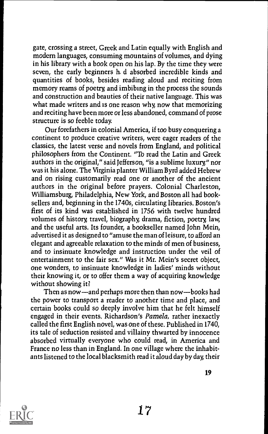gate, crossing a street, Greek and Latin equally with English and modern languages, consuming mountains of volumes, and dying in his library with a book open on his lap. By the time they were seven, the early beginners h d absorbed incredible kinds and quantities of books, besides reading aloud and reciting from memory reams of poetry, and imbibing in the process the sounds and construction and beauties of their native language. This was what made writers and is one reason why, now that memorizing and reciting have been more or less abandoned, command of prose structure is so feeble today.

Our forefathers in colonial America, if too busy conquering a continent to produce creative writers, were eager readers of the classics, the latest verse and novels from England, and political philosophers from the Continent. "To read the Latin and Greek authors in the original," said Jefferson, "is a sublime luxury," nor was it his alone. The Virginia planter William Byrd added Hebrew and on rising customarily read one or another of the ancient authors in the original before prayers. Colonial Charleston, Williamsburg, Philadelphia, New York, and Boston all had booksellers and, beginning in the 1740s, circulating libraries. Boston's first of its kind was established in 1756 with twelve hundred volumes of history, travel, biography, drama, fiction, poetry law, and the useful arts. Its founder, a bookseller named John Mein, advertised it as designed to "amuse the man of leisure, to afford an elegant and agreeable relaxation to the minds of men of business, and to insinuate knowledge and instruction under the veil of entertainment to the fair sex." Was it Mr. Mein's secret object, one wonders, to insinuate knowledge in ladies' minds without their knowing it, or to offer them a way of acquiring knowledge without showing it?

Then as now—and perhaps more then than now—books had the power to transport a reader to another time and place, and certain books could so deeply involve him that he felt himself engaged in their events. Richardson's Pamela, rather inexactly called the first English novel, was one of these. Published in 1740, its tale of seduction resisted and villainy thwarted by innocence absorbed virtually everyone who could read, in America and France no less than in England. In one village where the inhabitants listened to the local blacksmith read it aloud day by day, their

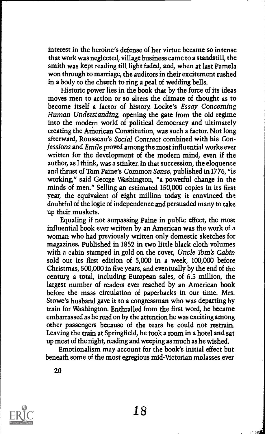interest in the heroine's defense of her virtue became so intense that work was neglected, village business came to a standstill, the smith was kept reading till light faded, and, when at last Pamela won through to marriage, the auditors in their excitement rushed in a body to the church to ring a peal of wedding bells.

Historic power lies in the book that by the force of its ideas moves men to action or so alters the climate of thought as to become itself a factor of history. Locke's Essay Concerning Human Understanding, opening the gate from the old regime into the modern world of political democracy and ultimately creating the Anierican Constitution, was such a factor. Not long afterward, Rousseau's Social Contract combined with his Confessions and Emile proved among the most influential works ever written for the development of the modem mind, even if the author, as I think, was a stinker. In that succession, the eloquence and thrust of Tom Paine's Common Sense, published in 1776, "is working," said George Washington, "a powerful change in the minds of men." Selling an estimated 150,000 copies in its first year, the equivalent of eight million today, it convinced the doubtful of the logic of independence and persuaded many to take up their muskets.

Equaling if not surpassing Paine in public effect, the most influential book ever written by an American was the work of a woman who had previously written only domestic sketches for magazines. Published in 1852 in two little black cloth volumes with a cabin stamped in gold on the cover, Uncle Tom's Cabin sold out its first edition of 5,000 in a week, 100,000 before Christmas, 500,000 in five years, and eventually by the end of the century, a total, including European sales, of 6.5 million, the largest number of readers ever reached by an American book before the mass circulation of paperbacks in our time. Mrs. Stowe's husband gave it to a congressman who was departing by train for Washington. Enthralled from the first word, he became embarrassed as he read on by the attention he was exciting among other passengers because of the tears he could not restrain. Leaving the train at Springfield, he took a room in a hotel and sat up most of the night, reading and weeping as much as he wished.

Emotionalism may account for the book's initial effect but beneath some of the most egregious mid-Victorian molasses ever

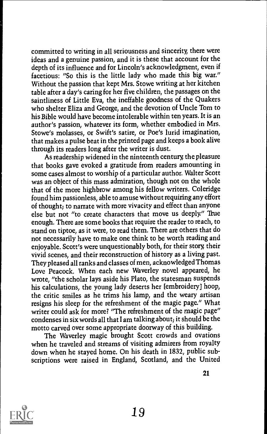committed to writing in all seriousness and sincerity, there were ideas and a genuine passion, and it is these that account for the depth of its influence and for Lincoln's acknowledgment, even if facetious: "So this is the little lady who made this big war." Without the passion that kept Mrs. Stowe writing at her kitchen table after a day's caring for her five children, the passages on the saintliness of Little Eva, the ineffable goodness of the Quakers who shelter Eliza and George, and the devotion of Uncle Tom to his Bible would have become intolerable within ten years. It is an author's passion, whatever its form, whether embodied in Mrs. Stowe's molasses, or Swift's satire, or Poe's lurid imagination, that makes a pulse beat in the printed page and keeps a book alive through its readers long after the writer is dust.

As readership widened in the ninteenth century, the pleasure that books gave evoked a gratitude from readers amounting in some cases almost to worship of a particular author. Walter Scott was an object of this mass admiration, though not on the whole that of the more highbrow among his fellow writers. Coleridge found him passionless, able to amuse without requiring any effort of thought; to narrate with more vivacity and effect than anyone else but not "to create characters that move us deeply" True enough. There are some books that require the reader to reach, to stand on tiptoe, as it were, to read them. There are others that do not necessarily have to make one think to be worth reading and enjoyable. Scott's were unquestionably both, for their story, their vivid scenes, and their reconstruction of history as a living past. They pleased all ranks and classes of men, acknowledged Thomas Love Peacock. When each new Waverley novel appeared, he wrote, "the scholar lays aside his Plato, the statesman suspends his calculations, the young lady deserts her [embroidery] hoop, the critic smiles as he trims his lamp, and the weary artisan resigns his sleep for the refreshment of the magic page." What writer could ask for more? "The refreshment of the magic page" condenses in six words all that I am talking about; it should be the motto carved over some appropriate doorway of this building.

The Waverley magic brought Scott crowds and ovations when he traveled and streams of visiting admirers from royalty down when he stayed home. On his death in 1832, public subscriptions were raised in England, Scotland, and the United

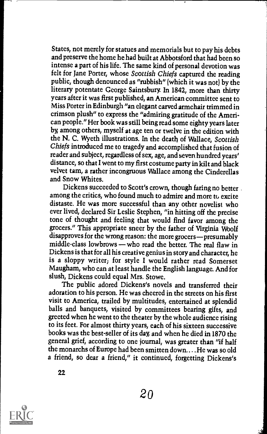States, not merely for statues and memorials but to pay his debts and preserve the home he had built at Abbotsford that had been so intense a part of his life. The same kind of personal devotion was felt for Jane Porter, whose Scottish Chiefs captured the reading public, though denounced as "rubbish" (which it was not) by the literary potentate George Saintsbury. In 1842, more than thirty years after it was first published, an American committee sent to Miss Porter in Edinburgh "an elegant carved armchair trimmed in crimson plush" to express the "admiring gratitude of the American people." Her book was still being read some eighty years later by, among others, myself at age ten or twelve in the edition with the N. C. Wyeth illustrations. In the death of Wallace, Scottish Chiefs introduced me to tragedy and accomplished that fusion of reader and subject, regardless of sex, age, and seven hundred years' distance, so that I went to my first costume party in kilt and black velvet tam, a rather incongruous Wallace among the Cinderellas and Snow Whites.

Dickens succeeded to Scott's crown, though faring no better . among the critics, who found much to admire and more to excite distaste. He was more successful than any other novelist who ever lived, declared Sir Leslie Stephen, "in hitting off the precise tone of thought and feeling that would find favor among the grocers." This appropriate sneer by the father of Virginia Woolf disapproves for the wrong reason: the more grocers-presumably middle-class lowbrows - who read the better. The real flaw in Dickens is that for all his creative genius in story and character, he is a sloppy writer; for style I would rather read Somerset Maugham, who can at least handle the English language. And for slush, Dickens could equal Mrs. Stowe.

The public adored Dickens's novels and transferred their adoration to his person. He was cheered in the streets on his first visit to America, trailed by multitudes, entertained at splendid balls and banquets, visited by committees bearing gifts, and greeted when he went to the theater by the whole audience rising to its feet. For almost thirty years, each of his sixteen successive books was the best-seller of its day, and when he died in 1870 the general grief, according to one journal, was greater than "if half the monarchs of Europe had been smitten down.... He was so old a friend, so dear a friend," it continued, forgetting Dickens's

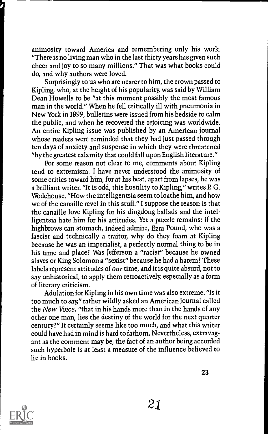animosity toward America and remembering only his work. "There is no living man who in the last thirty years has given such cheer and joy to so many millions." That was what books could do, and why authors were loved.

Surprisingly to us who are nearer to him, the crown passed to Kipling, who, at the height of his popularity, was said by William Dean Howells to be "at this moment possibly the most famous man in the world." When he fell critically ill with pneumonia in New York in 1899, bulletins were issued from his bedside to calm the public, and when he recovered the rejoicing was worldwide. An entire Kipling issue was published by an American journal whose readers were reminded that they had just passed through ten days of anxiety and suspense in which they were threatened "by the greatest calamity that could fall upon English literature."

For some reason not clear to me, comments about Kipling tend to extremism. I have never understood the animosity of some critics toward him, for at his best, apart from lapses, he was a brilliant writer. "It is odd, this hostility to Kipling," writes P. G. Wodehouse. "How the intelligentsia seem to loathe him, and how we of the canaille revel in this stuff." I suppose the reason is that the canaille love Kipling for his dingdong ballads and the intelligentsia hate him for his attitudes. Yet a puzzle remains: if the highbrows can stomach, indeed admire, Ezra Pound, who was a fascist and technically a traitor, why do they foam at Kipling because he was an imperialist, a perfectly normal thing to be in his time and place? Was Jefferson a "racist" because he owned slaves or King Solomon a "sexist" because he had a harem? These labels represent attitudes of our time, and it is quite absurd, not to say unhistorical, to apply them retroactively, especially as a form of literary criticism.

Adulation for Kipling in his own time was also extreme. "Is it too much to say," rather wildly asked an American journal called the New Voice, "that in his hands more than in the hands of any other one man, lies the destiny of the world for the next quarter century?" It certainly seems like too much, and what this writer could have had in mind is hard to fathom. Nevertheless, extravagant as the comment may be, the fact of an author being accorded such hyperbole is at least a measure of the influence believed to lie in books.

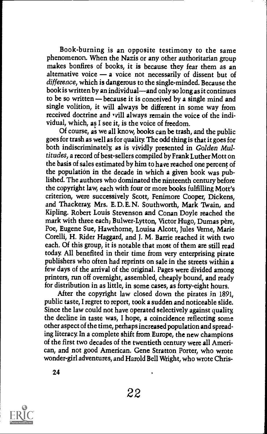Book-burning is an opposite testimony to the same phenomenon. When the Nazis or any other authoritarian group makes bonfires of books, it is because they fear them as an alternative voice  $-$  a voice not necessarily of dissent but of difference, which is dangerous to the single-minded. Because the book is written by an individual—and only so long as it continues to be so written because it is conceived by a single mind and single volition, it will always be different in some way from received doctrine and will always remain the voice of the individual, which, as I see it, is the voice of freedom.

Of course, as we all know, books can be trash, and the public goes for trash as well as for quality. The odd thing is that it goes for both indiscriminately, as is vividly presented in Golden Multitudes, a record of best-sellers compiled by Frank Luther Mott on the basis of sales estimated by him to have reached one percent of the population in the decade in which a given book was published. The authors who dominated the ninteenth century before the copyright law, each with four or more books fulfilling Mott's criterion, were successively Scott, Fenimore Cooper, Dickens, and Thackeray, Mrs. E. D.E. N. Southworth, Mark Twain, and Kipling. Robert Louis Stevenson and Conan Doyle reached the mark with three each; Bulwer-Lytton, Victor Hugo, Dumas père, Poe, Eugene Sue, Hawthorne, Louisa Alcott, Jules Verne, Marie Corelli, H. Rider Haggard, and J. M. Barrie reached it with two each. Of this group, it is notable that most of them are still read today. All benefited in their time from very enterprising pirate publishers who often had reprints on sale in the streets within a few days of the arrival of the original. Pages were divided among printers, run off overnight, assembled, cheaply bound, and ready for distribution in as little, in some cases, as forty-eight hours.

After the copyright law closed down the pirates in 1891, public taste, I regret to report, took a sudden and noticeable slide. Since the law could not have operated selectively against quality, the decline in taste was, I hope, a coincidence reflecting some other aspect of the time, perhaps increased population and spreading literacy. In a complete shift from Europe, the new champions of the first two decades of the twentieth century were all American, and not good American. Gene Stratton Porter, who wrote wonder-girl adventures, and Harold Bell Wright, who wrote Chris-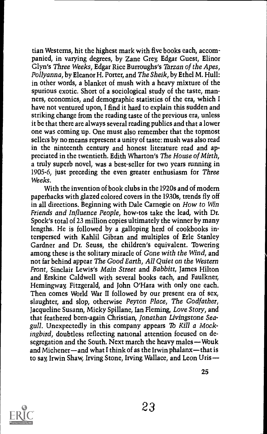tian Westerns, hit the highest mark with five books each, accompanied, in varying degrees, by Zane Grey, Edgar Guest, Elinor Glyn's Three Weeks, Edgar Rice Burroughs's Tarzan of the Apes, Pollyanna, by Eleanor H. Porter, and The Sheik, by Ethel M. Hull: in other words, a blanket of mush with a heavy mixture of the spurious exotic. Short of a sociological study of the taste, manners, economics, and demographic statistics of the era, which I have not ventured upon, I find it hard to explain this sudden and striking change from the reading taste of the previous era, unless it be that there are always several reading publics and that a lower one was coming up. One must also remember that the topmost sellers by no means represent a unity of taste: mush was also read in the ninteenth century and honest literature read and appreciated in the twentieth. Edith Wharton's The House of Mirth, a truly superb novel, was a best-seller for two years running in 1905-6, just preceding the even greater enthusiasm for Three Weeks.

With the invention of book clubs in the 1920s and of modern paperbacks with glazed colored covers in the 1930s, trends fly off in all directions. Beginning with Dale Carnegie on How to Win Friends and Influence People, how-tos take the lead, with Dr. Spock's total of 23 million copies ultimately the winner by many lengths. He is followed by a galloping herd of cookbooks interspersed with Kahlil Gibran and multiples of Erle Stanley Gardner and Dr. Seuss, the children's equivalent. Towering among these is the solitary miracle of Gone with the Wind, and not far behind appear The Good Earth, All Quiet on the Western Front, Sinclair Lewis's Main Street and Babbitt, James Hilton and Erskine Caldwell with several books each, and Faulkner, Hemingway, Fitzgerald, and John O'Hara with only one each. Then comes World War II followed by our present era of sex, slaughter, and slop, otherwise Peyton Place, The Godfather, Jacqueline Susann, Micky Spillane, Ian Fleming, Love Story, and that feathered born-again Christian, Jonathan Livingstone Seagull. Unexpectedly in this company appears To Kill  $a$  Mockingbird, doubtless reflecting national attention focused on desegregation and the South. Next march the heavy males — Wouk and Michener—and what I think of as the Irwin phalanx—that is to say, Irwin Shaw, Irving Stone, Irving Wallace, and Leon Uris

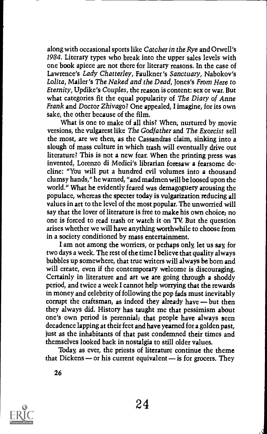along with occasional sports like Catcher in the Rye and Orwell's 1984. Literary types who break into the upper sales levels with one book apiece are not there for literary reasons. In the case of Lawrence's Lady Chatterley, Faulkner's Sanctuary, Nabokov's Lolita, Mailer's The Naked and the Dead, Jones's From Here to Eternity, Updike's Couples, the reason is content: sex or war. But what categories fit the equal popularity of The Diary of Anne Frank and Doctor Zhivago? One appealed, I imagine, for its own sake, the other because of the film.

What is one to make of all this? When, nurtured by movie versions, the vulgarest like The Godfather and The Exorcist sell the most, are we then, as the Cassandras claim, sinking into a slough of mass culture in which trash will eventually drive out literature? This is not a new fear. When the printing press was invented, Lorenzo di Medici's librarian foresaw a fearsome decline: "You will put a hundred evil volumes into a thousand clumsy hands," he warned, "and madmen will be loosed upon the world." What he evidently feared was demagoguery arousing the populace, whereas the specter today is vulgarization reducing all values in art to the level of the most popular. The unworried will say that the lover of literature is free to make his own choice; no one is forced to read trash or watch it on TV But the question arises whether we will have anything worthwhile to choose from in a society conditioned by mass entertainment.

I am not among the worriers, or perhaps only, let us say, for two days a week. The rest of the time I believe that quality always bubbles up somewhere, that true writers will always be born and will create, even if the contemporary welcome is discouraging. Certainly in literature and art we are going through a shoddy period, and twice a week I cannot help worrying that the rewards in money and celebrity of following the pop fads must inevitably corrupt the craftsman, as indeed they already have  $-$  but then they always did. History has taught me that pessimism about one's own period is perennial; that people have always seen decadence lapping at their feet and have yearned for a golden past, just as the inhabitants of that past condemned their times and themselves looked back in nostalgia to still older values.

Today, as ever, the priests of literature continue the theme that Dickens  $-$  or his current equivalent  $-$  is for grocers. They

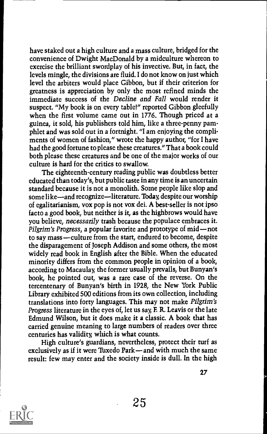have staked out a high culture and a mass culture, bridged for the convenience of Dwight MacDonald by a midculture whereon to exercise the brilliant swordplay of his invective. But, in fact, the levels mingle, the divisions are fluid. I do not know on just which level the arbiters would place Gibbon, but if their criterion for greatness is appreciation by only the most refined minds the immediate success of the Decline and Fall would render it suspect. "My book is on every table!" reported Gibbon gleefully when the first volume came out in 1776. Though priced at a guinea, it sold, his publishers told him, like a three-penny pamphlet and was sold out in a fortnight. "I am enjoying the compliments of women of fashion," wrote the happy author, "for I have had the good fortune to please these creatures." That a book could both please these creatures and be one of the major works of our culture is hard for the critics to swallow.

The eighteenth-century reading public was doubtless better educated than today's, but public taste in any time is an uncertain standard because it is not a monolith. Some people like slop and some like—and recognize—literature. Today, despite our worship of egalitarianism, vox pop is not vox dei. A best-seller is not ipso facto a good book, but neither is it, as the highbrows would have you believe, necessarily trash because the populace embraces it. Pilgrim's Progress, a popular favorite and prototype of  $mid$ -not to say mass - culture from the start, endured to become, despite the disparagement of Joseph Addison and some others, the most widely read book in English after the Bible. When the educated minority differs from the common people in opinion of a book, according to Macaulay, the former usually prevails, but Bunyan's book, he pointed out, was a rare case of the reverse. On the tercentenary of Bunyan's birth in 1928, the New York Public Library exhibited 500 editions from its own collection, including translations into forty languages. This may not make Pilgrim's Progress literature in the eyes of, let us say, F. R. Leavis or the late Edmund Wilson, but it does make it a classic. A book that has carried genuine meaning to large numbers of readers over three centuries has validity, which is what counts.

High culture's guardians, nevertheless, protect their turf as exclusively as if it were Tuxedo Park - and with much the same result: few may enter and the society inside is dull. In the high

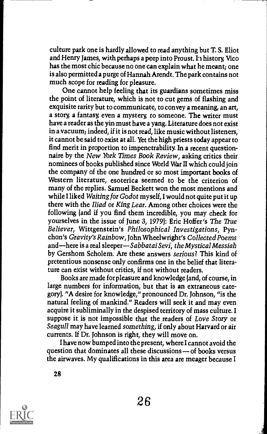culture park one is hardly allowed to read anything but T. S. Eliot and Henry James, with perhaps a peep into Proust. In history, Vico has the most chic because no one can explain what he meant; one is also permitted a purge of Hannah Arendt. The park contains not much scope for reading for pleasure.

One cannot help feeling that its guardians sometimes miss the point of literature, which is not to cut gems of flashing and exquisite rarity but to communicate, to convey a meaning, an art, a story, a fantasy, even a mystery to someone. The writer must have a reader as the yin must have a yang. Literature does not exist in a vacuum; indeed, if it is not read, like music without listeners, it cannot be said to exist at all. Yet the high priests today appear to find merit in proportion to impenetrability. In a recent questionnaire by the New York Times Book Review, asking critics their nominees of books published since World War II which could join the company of the one hundred or so most important books of Western literature, esoterica seemed to be the criterion of many of the replies. Samuel Beckett won the most mentions and while I liked Waiting for Godot myself, I would not quite put it up there with the Iliad or King Lear. Among other choices were the following (and if you find them incredible, you may check for yourselves in the issue of June 3, 1979): Eric Hoffer's The True Believer, Wittgenstein's Philosophical Investigations, Pynchon's Gravity's Rainbow, John Wheelwright's Collected Poems and—here is a real sleeper—Sabbatai Sevi, the Mystical Messiah by Gershom Scholem. Are these answers serious? This kind of pretentious nonsense only confirms one in the belief that literature can exist without critics, if not without readers.

Books are made for pleasure and knowledge (and, of course, in large numbers for information, but that is an extraneous category). "A desire for knowledge," pronounced Dr. Johnson, "is the natural feeling of mankind." Readers will seek it and may even acquire it subliminally in the despised territory of mass culture. I suppose it is not impossible that the readers of Love Story or Seagull may have learned something, if only about Harvard or air currents. If Dr. Johnson is right, they will move on.

I have now bumped into the present, where I cannot avoid the question that dominates all these discussions — of books versus the airwaves. My qualifications in this area are meager because I

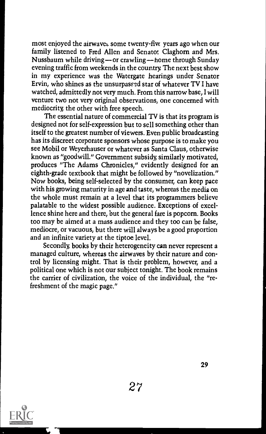most enjoyed the airwaves some twenty -five years ago when our family listened to Fred Allen and Senator Claghom and Mrs. Nussbaum while driving—or crawling—home through Sunday evening traffic from weekends in the country. The next best show in my experience was the Watergate hearings under Senator Ervin, who shines as the unsurpassed star of whatever TV I have watched, admittedly not very much. From this narrow base, I will venture two not very original observations, one concerned with mediocrity, the other with free speech.

The essential nature of commercial TV is that its program is designed not for self-expression but to sell something other than itself to the greatest number of viewers. Even public broadcasting has its discreet corporate sponsors whose purpose is to make you see Mobil or Weyerhauser or whatever as Santa Claus, otherwise known as "goodwill." Government subsidy, similarly motivated, produces "The Adams Chronicles," evidently designed for an eighth-grade textbook that might be followed by "novelization." Now books, being self-selected by the consumer, can keep pace with his growing maturity in age and taste, whereas the media on the whole must remain at a level that its programmers believe palatable to the widest possible audience. Exceptions of excellence shine here and there, but the general fare is popcorn. Books too may be aimed at a mass audience and they too can be false, mediocre, or vacuous, but there will always be a good proportion and an infinite variety at the tiptoe level.

Secondly, books by their heterogeneity can never represent a managed culture, whereas the airwaves by their nature and control by licensing might. That is their problem, however, and a political one which is not our subject tonight. The book remains the carrier of civilization, the voice of the individual, the "refreshment of the magic page."